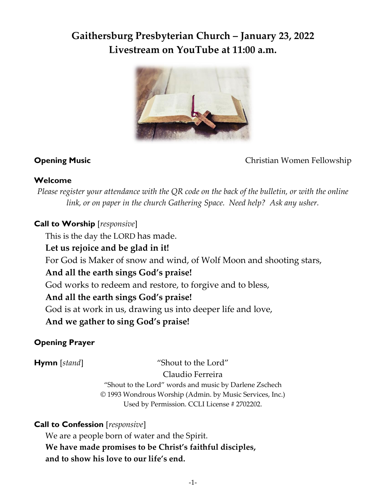# **Gaithersburg Presbyterian Church – January 23, 2022 Livestream on YouTube at 11:00 a.m.**



**Opening Music** Christian Women Fellowship

## **Welcome**

*Please register your attendance with the QR code on the back of the bulletin, or with the online link, or on paper in the church Gathering Space. Need help? Ask any usher.*

## **Call to Worship** [*responsive*]

This is the day the LORD has made.

## **Let us rejoice and be glad in it!**

For God is Maker of snow and wind, of Wolf Moon and shooting stars,

## **And all the earth sings God's praise!**

God works to redeem and restore, to forgive and to bless,

## **And all the earth sings God's praise!**

God is at work in us, drawing us into deeper life and love,

**And we gather to sing God's praise!**

## **Opening Prayer**

**Hymn** [*stand*] "Shout to the Lord"

Claudio Ferreira

"Shout to the Lord" words and music by Darlene Zschech © 1993 Wondrous Worship (Admin. by Music Services, Inc.) Used by Permission. CCLI License # 2702202.

## **Call to Confession** [*responsive*]

We are a people born of water and the Spirit. **We have made promises to be Christ's faithful disciples, and to show his love to our life's end.**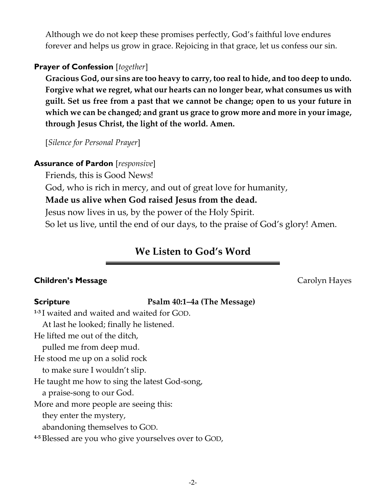Although we do not keep these promises perfectly, God's faithful love endures forever and helps us grow in grace. Rejoicing in that grace, let us confess our sin.

## **Prayer of Confession** [*together*]

**Gracious God, our sins are too heavy to carry, too real to hide, and too deep to undo. Forgive what we regret, what our hearts can no longer bear, what consumes us with guilt. Set us free from a past that we cannot be change; open to us your future in which we can be changed; and grant us grace to grow more and more in your image, through Jesus Christ, the light of the world. Amen.**

[*Silence for Personal Prayer*]

#### **Assurance of Pardon** [*responsive*]

Friends, this is Good News!

God, who is rich in mercy, and out of great love for humanity,

### **Made us alive when God raised Jesus from the dead.**

Jesus now lives in us, by the power of the Holy Spirit.

So let us live, until the end of our days, to the praise of God's glory! Amen.

## **We Listen to God's Word**

#### **Children's Message Children's Message** *Carolyn Hayes*

#### **Scripture Psalm 40:1–4a (The Message)**

**1-3** I waited and waited and waited for GOD.

At last he looked; finally he listened.

He lifted me out of the ditch,

pulled me from deep mud.

He stood me up on a solid rock

to make sure I wouldn't slip.

He taught me how to sing the latest God-song,

a praise-song to our God.

More and more people are seeing this:

they enter the mystery,

abandoning themselves to GOD.

**4-5** Blessed are you who give yourselves over to GOD,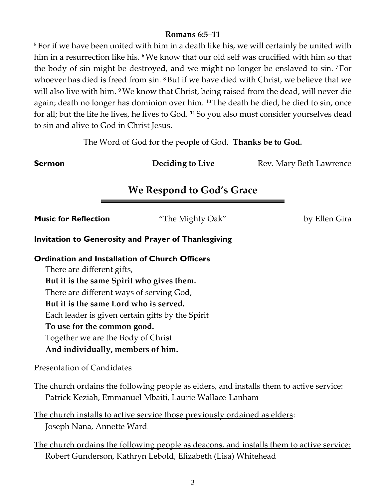### **Romans 6:5–11**

**<sup>5</sup>** For if we have been united with him in a death like his, we will certainly be united with him in a resurrection like his. **<sup>6</sup>**We know that our old self was crucified with him so that the body of sin might be destroyed, and we might no longer be enslaved to sin. **<sup>7</sup>** For whoever has died is freed from sin. **<sup>8</sup>** But if we have died with Christ, we believe that we will also live with him. **<sup>9</sup>**We know that Christ, being raised from the dead, will never die again; death no longer has dominion over him. **<sup>10</sup>** The death he died, he died to sin, once for all; but the life he lives, he lives to God. **<sup>11</sup>** So you also must consider yourselves dead to sin and alive to God in Christ Jesus.

The Word of God for the people of God. **Thanks be to God.**

**Sermon Deciding to Live** Rev. Mary Beth Lawrence

## **We Respond to God's Grace**

| <b>Music for Reflection</b>                                | "The Mighty Oak"                                                                         | by Ellen Gira |
|------------------------------------------------------------|------------------------------------------------------------------------------------------|---------------|
| <b>Invitation to Generosity and Prayer of Thanksgiving</b> |                                                                                          |               |
| <b>Ordination and Installation of Church Officers</b>      |                                                                                          |               |
| There are different gifts,                                 |                                                                                          |               |
| But it is the same Spirit who gives them.                  |                                                                                          |               |
| There are different ways of serving God,                   |                                                                                          |               |
| But it is the same Lord who is served.                     |                                                                                          |               |
| Each leader is given certain gifts by the Spirit           |                                                                                          |               |
| To use for the common good.                                |                                                                                          |               |
| Together we are the Body of Christ                         |                                                                                          |               |
| And individually, members of him.                          |                                                                                          |               |
| <b>Presentation of Candidates</b>                          |                                                                                          |               |
|                                                            | The church ordains the following people as elders, and installs them to active service:  |               |
|                                                            | Patrick Keziah, Emmanuel Mbaiti, Laurie Wallace-Lanham                                   |               |
|                                                            | <u>The church installs to active service those previously ordained as elders</u> :       |               |
| Joseph Nana, Annette Ward.                                 |                                                                                          |               |
|                                                            | The church ordains the following people as deacons, and installs them to active service: |               |

Robert Gunderson, Kathryn Lebold, Elizabeth (Lisa) Whitehead